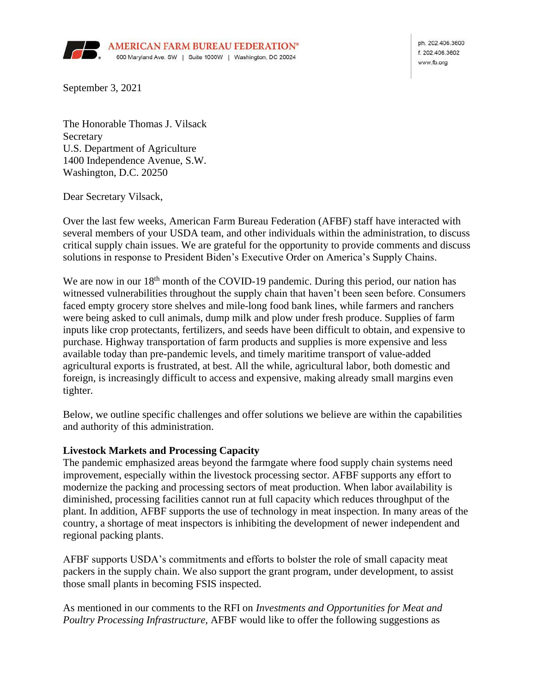

ph. 202.406.3600 £ 202,406,3602 www.fb.org

September 3, 2021

The Honorable Thomas J. Vilsack **Secretary** U.S. Department of Agriculture 1400 Independence Avenue, S.W. Washington, D.C. 20250

Dear Secretary Vilsack,

Over the last few weeks, American Farm Bureau Federation (AFBF) staff have interacted with several members of your USDA team, and other individuals within the administration, to discuss critical supply chain issues. We are grateful for the opportunity to provide comments and discuss solutions in response to President Biden's Executive Order on America's Supply Chains.

We are now in our 18<sup>th</sup> month of the COVID-19 pandemic. During this period, our nation has witnessed vulnerabilities throughout the supply chain that haven't been seen before. Consumers faced empty grocery store shelves and mile-long food bank lines, while farmers and ranchers were being asked to cull animals, dump milk and plow under fresh produce. Supplies of farm inputs like crop protectants, fertilizers, and seeds have been difficult to obtain, and expensive to purchase. Highway transportation of farm products and supplies is more expensive and less available today than pre-pandemic levels, and timely maritime transport of value-added agricultural exports is frustrated, at best. All the while, agricultural labor, both domestic and foreign, is increasingly difficult to access and expensive, making already small margins even tighter.

Below, we outline specific challenges and offer solutions we believe are within the capabilities and authority of this administration.

### **Livestock Markets and Processing Capacity**

The pandemic emphasized areas beyond the farmgate where food supply chain systems need improvement, especially within the livestock processing sector. AFBF supports any effort to modernize the packing and processing sectors of meat production. When labor availability is diminished, processing facilities cannot run at full capacity which reduces throughput of the plant. In addition, AFBF supports the use of technology in meat inspection. In many areas of the country, a shortage of meat inspectors is inhibiting the development of newer independent and regional packing plants.

AFBF supports USDA's commitments and efforts to bolster the role of small capacity meat packers in the supply chain. We also support the grant program, under development, to assist those small plants in becoming FSIS inspected.

As mentioned in our comments to the RFI on *Investments and Opportunities for Meat and Poultry Processing Infrastructure*, AFBF would like to offer the following suggestions as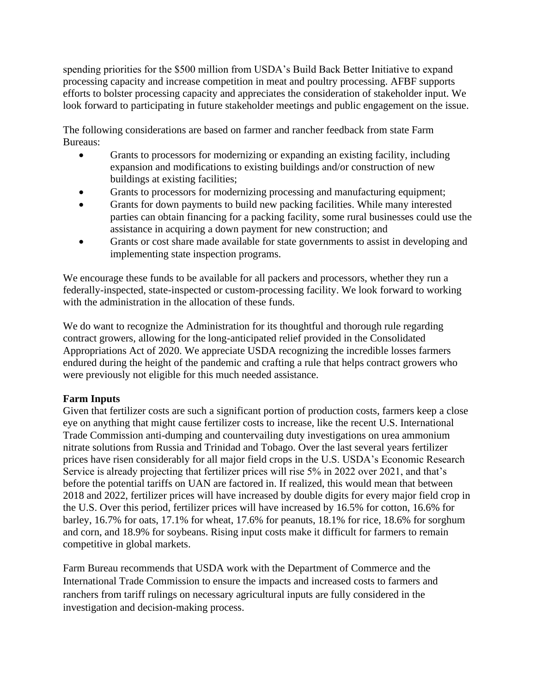spending priorities for the \$500 million from USDA's Build Back Better Initiative to expand processing capacity and increase competition in meat and poultry processing. AFBF supports efforts to bolster processing capacity and appreciates the consideration of stakeholder input. We look forward to participating in future stakeholder meetings and public engagement on the issue.

The following considerations are based on farmer and rancher feedback from state Farm Bureaus:

- Grants to processors for modernizing or expanding an existing facility, including expansion and modifications to existing buildings and/or construction of new buildings at existing facilities;
- Grants to processors for modernizing processing and manufacturing equipment;
- Grants for down payments to build new packing facilities. While many interested parties can obtain financing for a packing facility, some rural businesses could use the assistance in acquiring a down payment for new construction; and
- Grants or cost share made available for state governments to assist in developing and implementing state inspection programs.

We encourage these funds to be available for all packers and processors, whether they run a federally-inspected, state-inspected or custom-processing facility. We look forward to working with the administration in the allocation of these funds.

We do want to recognize the Administration for its thoughtful and thorough rule regarding contract growers, allowing for the long-anticipated relief provided in the Consolidated Appropriations Act of 2020. We appreciate USDA recognizing the incredible losses farmers endured during the height of the pandemic and crafting a rule that helps contract growers who were previously not eligible for this much needed assistance.

### **Farm Inputs**

Given that fertilizer costs are such a significant portion of production costs, farmers keep a close eye on anything that might cause fertilizer costs to increase, like the recent U.S. International Trade Commission anti-dumping and countervailing duty investigations on urea ammonium nitrate solutions from Russia and Trinidad and Tobago. Over the last several years fertilizer prices have risen considerably for all major field crops in the U.S. USDA's Economic Research Service is already projecting that fertilizer prices will rise 5% in 2022 over 2021, and that's before the potential tariffs on UAN are factored in. If realized, this would mean that between 2018 and 2022, fertilizer prices will have increased by double digits for every major field crop in the U.S. Over this period, fertilizer prices will have increased by 16.5% for cotton, 16.6% for barley, 16.7% for oats, 17.1% for wheat, 17.6% for peanuts, 18.1% for rice, 18.6% for sorghum and corn, and 18.9% for soybeans. Rising input costs make it difficult for farmers to remain competitive in global markets.

Farm Bureau recommends that USDA work with the Department of Commerce and the International Trade Commission to ensure the impacts and increased costs to farmers and ranchers from tariff rulings on necessary agricultural inputs are fully considered in the investigation and decision-making process.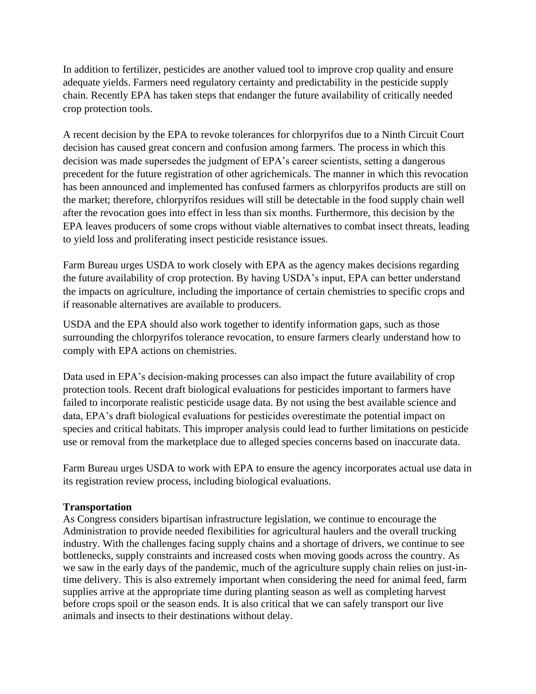In addition to fertilizer, pesticides are another valued tool to improve crop quality and ensure adequate yields. Farmers need regulatory certainty and predictability in the pesticide supply chain. Recently EPA has taken steps that endanger the future availability of critically needed crop protection tools.

A recent decision by the EPA to revoke tolerances for chlorpyrifos due to a Ninth Circuit Court decision has caused great concern and confusion among farmers. The process in which this decision was made supersedes the judgment of EPA's career scientists, setting a dangerous precedent for the future registration of other agrichemicals. The manner in which this revocation has been announced and implemented has confused farmers as chlorpyrifos products are still on the market; therefore, chlorpyrifos residues will still be detectable in the food supply chain well after the revocation goes into effect in less than six months. Furthermore, this decision by the EPA leaves producers of some crops without viable alternatives to combat insect threats, leading to yield loss and proliferating insect pesticide resistance issues.

Farm Bureau urges USDA to work closely with EPA as the agency makes decisions regarding the future availability of crop protection. By having USDA's input, EPA can better understand the impacts on agriculture, including the importance of certain chemistries to specific crops and if reasonable alternatives are available to producers.

USDA and the EPA should also work together to identify information gaps, such as those surrounding the chlorpyrifos tolerance revocation, to ensure farmers clearly understand how to comply with EPA actions on chemistries.

Data used in EPA's decision-making processes can also impact the future availability of crop protection tools. Recent draft biological evaluations for pesticides important to farmers have failed to incorporate realistic pesticide usage data. By not using the best available science and data, EPA's draft biological evaluations for pesticides overestimate the potential impact on species and critical habitats. This improper analysis could lead to further limitations on pesticide use or removal from the marketplace due to alleged species concerns based on inaccurate data.

Farm Bureau urges USDA to work with EPA to ensure the agency incorporates actual use data in its registration review process, including biological evaluations.

### **Transportation**

As Congress considers bipartisan infrastructure legislation, we continue to encourage the Administration to provide needed flexibilities for agricultural haulers and the overall trucking industry. With the challenges facing supply chains and a shortage of drivers, we continue to see bottlenecks, supply constraints and increased costs when moving goods across the country. As we saw in the early days of the pandemic, much of the agriculture supply chain relies on just-intime delivery. This is also extremely important when considering the need for animal feed, farm supplies arrive at the appropriate time during planting season as well as completing harvest before crops spoil or the season ends. It is also critical that we can safely transport our live animals and insects to their destinations without delay.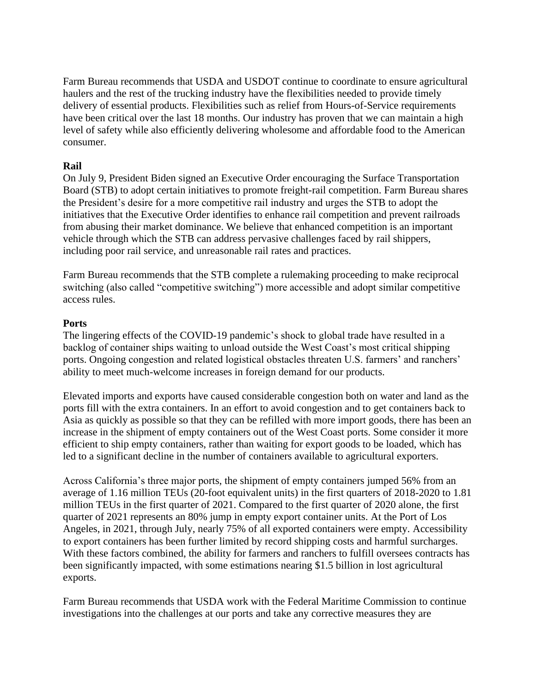Farm Bureau recommends that USDA and USDOT continue to coordinate to ensure agricultural haulers and the rest of the trucking industry have the flexibilities needed to provide timely delivery of essential products. Flexibilities such as relief from Hours-of-Service requirements have been critical over the last 18 months. Our industry has proven that we can maintain a high level of safety while also efficiently delivering wholesome and affordable food to the American consumer.

## **Rail**

On July 9, President Biden signed an Executive Order encouraging the Surface Transportation Board (STB) to adopt certain initiatives to promote freight-rail competition. Farm Bureau shares the President's desire for a more competitive rail industry and urges the STB to adopt the initiatives that the Executive Order identifies to enhance rail competition and prevent railroads from abusing their market dominance. We believe that enhanced competition is an important vehicle through which the STB can address pervasive challenges faced by rail shippers, including poor rail service, and unreasonable rail rates and practices.

Farm Bureau recommends that the STB complete a rulemaking proceeding to make reciprocal switching (also called "competitive switching") more accessible and adopt similar competitive access rules.

# **Ports**

The lingering effects of the COVID-19 pandemic's shock to global trade have resulted in a backlog of container ships waiting to unload outside the West Coast's most critical shipping ports. Ongoing congestion and related logistical obstacles threaten U.S. farmers' and ranchers' ability to meet much-welcome increases in foreign demand for our products.

Elevated imports and exports have caused considerable congestion both on water and land as the ports fill with the extra containers. In an effort to avoid congestion and to get containers back to Asia as quickly as possible so that they can be refilled with more import goods, there has been an increase in the shipment of empty containers out of the West Coast ports. Some consider it more efficient to ship empty containers, rather than waiting for export goods to be loaded, which has led to a significant decline in the number of containers available to agricultural exporters.

Across California's three major ports, the shipment of empty containers jumped 56% from an average of 1.16 million TEUs (20-foot equivalent units) in the first quarters of 2018-2020 to 1.81 million TEUs in the first quarter of 2021. Compared to the first quarter of 2020 alone, the first quarter of 2021 represents an 80% jump in empty export container units. At the Port of Los Angeles, in 2021, through July, nearly 75% of all exported containers were empty. Accessibility to export containers has been further limited by record shipping costs and harmful surcharges. With these factors combined, the ability for farmers and ranchers to fulfill oversees contracts has been significantly impacted, with some estimations nearing \$1.5 billion in lost agricultural exports.

Farm Bureau recommends that USDA work with the Federal Maritime Commission to continue investigations into the challenges at our ports and take any corrective measures they are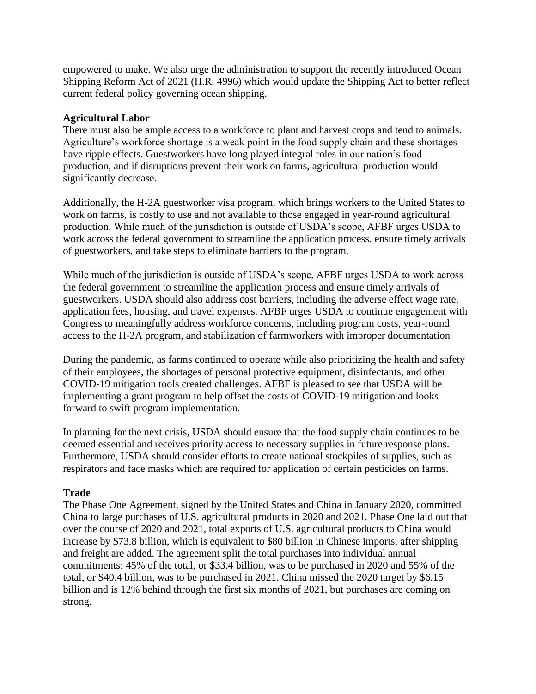empowered to make. We also urge the administration to support the recently introduced Ocean Shipping Reform Act of 2021 (H.R. 4996) which would update the Shipping Act to better reflect current federal policy governing ocean shipping.

### **Agricultural Labor**

There must also be ample access to a workforce to plant and harvest crops and tend to animals. Agriculture's workforce shortage is a weak point in the food supply chain and these shortages have ripple effects. Guestworkers have long played integral roles in our nation's food production, and if disruptions prevent their work on farms, agricultural production would significantly decrease.

Additionally, the H-2A guestworker visa program, which brings workers to the United States to work on farms, is costly to use and not available to those engaged in year-round agricultural production. While much of the jurisdiction is outside of USDA's scope, AFBF urges USDA to work across the federal government to streamline the application process, ensure timely arrivals of guestworkers, and take steps to eliminate barriers to the program.

While much of the jurisdiction is outside of USDA's scope, AFBF urges USDA to work across the federal government to streamline the application process and ensure timely arrivals of guestworkers. USDA should also address cost barriers, including the adverse effect wage rate, application fees, housing, and travel expenses. AFBF urges USDA to continue engagement with Congress to meaningfully address workforce concerns, including program costs, year-round access to the H-2A program, and stabilization of farmworkers with improper documentation

During the pandemic, as farms continued to operate while also prioritizing the health and safety of their employees, the shortages of personal protective equipment, disinfectants, and other COVID-19 mitigation tools created challenges. AFBF is pleased to see that USDA will be implementing a grant program to help offset the costs of COVID-19 mitigation and looks forward to swift program implementation.

In planning for the next crisis, USDA should ensure that the food supply chain continues to be deemed essential and receives priority access to necessary supplies in future response plans. Furthermore, USDA should consider efforts to create national stockpiles of supplies, such as respirators and face masks which are required for application of certain pesticides on farms.

### **Trade**

The Phase One Agreement, signed by the United States and China in January 2020, committed China to large purchases of U.S. agricultural products in 2020 and 2021. Phase One laid out that over the course of 2020 and 2021, total exports of U.S. agricultural products to China would increase by \$73.8 billion, which is equivalent to \$80 billion in Chinese imports, after shipping and freight are added. The agreement split the total purchases into individual annual commitments: 45% of the total, or \$33.4 billion, was to be purchased in 2020 and 55% of the total, or \$40.4 billion, was to be purchased in 2021. China missed the 2020 target by \$6.15 billion and is 12% behind through the first six months of 2021, but purchases are coming on strong.